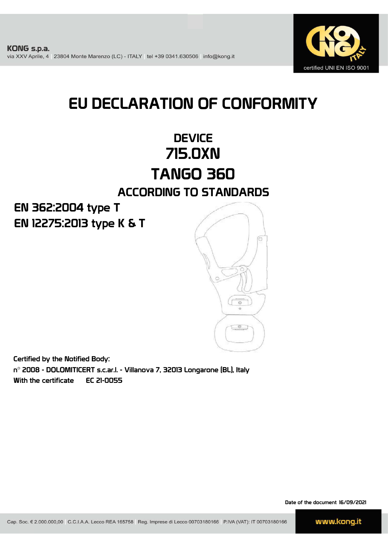

# EU DECLARATION OF CONFORMITY

### **DEVICE** 715.0XN TANGO 360 ACCORDING TO STANDARDS

EN 12275:2013 type K & T EN 362:2004 type T



Certified by the Notified Body: n° 2008 - DOLOMITICERT s.c.ar.l. - Villanova 7, 32013 Longarone (BL), Italy With the certificate EC 21-0055

Date of the document 16/09/2021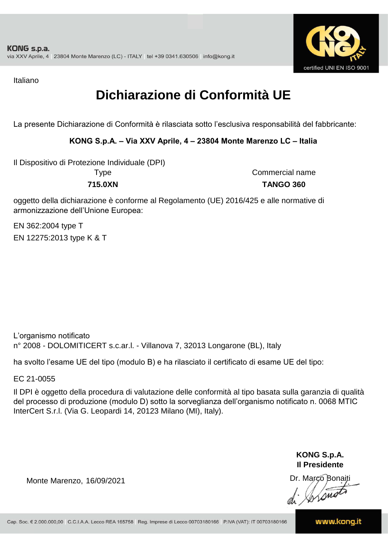

Italiano

## **Dichiarazione di Conformità UE**

La presente Dichiarazione di Conformità è rilasciata sotto l'esclusiva responsabilità del fabbricante:

#### **KONG S.p.A. – Via XXV Aprile, 4 – 23804 Monte Marenzo LC – Italia**

Il Dispositivo di Protezione Individuale (DPI)

**715.0XN TANGO 360** Type Commercial name

oggetto della dichiarazione è conforme al Regolamento (UE) 2016/425 e alle normative di armonizzazione dell'Unione Europea:

EN 12275:2013 type K & T EN 362:2004 type T

L'organismo notificato n° 2008 - DOLOMITICERT s.c.ar.l. - Villanova 7, 32013 Longarone (BL), Italy

ha svolto l'esame UE del tipo (modulo B) e ha rilasciato il certificato di esame UE del tipo:

EC 21-0055

Il DPI è oggetto della procedura di valutazione delle conformità al tipo basata sulla garanzia di qualità del processo di produzione (modulo D) sotto la sorveglianza dell'organismo notificato n. 0068 MTIC InterCert S.r.l. (Via G. Leopardi 14, 20123 Milano (MI), Italy).

> **KONG S.p.A. Il Presidente**

Monte Marenzo, 16/09/2021<br>
Monte Marenzo, 16/09/2021<br>
A Marco Bonaiti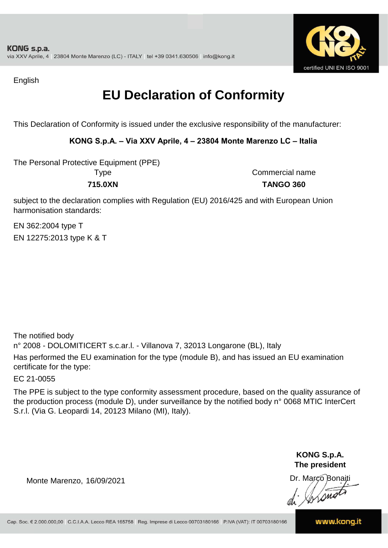

English

### **EU Declaration of Conformity**

This Declaration of Conformity is issued under the exclusive responsibility of the manufacturer:

#### **KONG S.p.A. – Via XXV Aprile, 4 – 23804 Monte Marenzo LC – Italia**

The Personal Protective Equipment (PPE) Type Commercial name

**715.0XN TANGO 360**

subject to the declaration complies with Regulation (EU) 2016/425 and with European Union harmonisation standards:

EN 12275:2013 type K & T EN 362:2004 type T

The notified body n° 2008 - DOLOMITICERT s.c.ar.l. - Villanova 7, 32013 Longarone (BL), Italy Has performed the EU examination for the type (module B), and has issued an EU examination certificate for the type:

EC 21-0055

The PPE is subject to the type conformity assessment procedure, based on the quality assurance of the production process (module D), under surveillance by the notified body n° 0068 MTIC InterCert S.r.l. (Via G. Leopardi 14, 20123 Milano (MI), Italy).

> **KONG S.p.A. The president**

Dr. Marco Bonaiti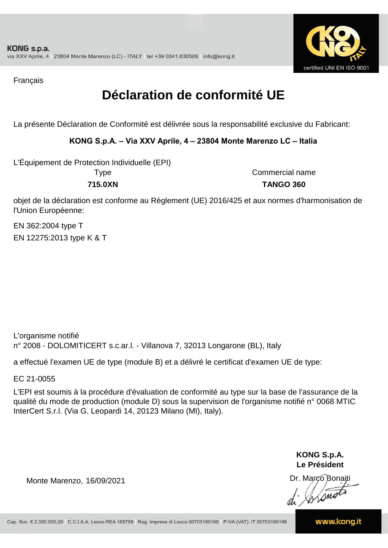

Français

### **Déclaration de conformité UE**

La présente Déclaration de Conformité est délivrée sous la responsabilité exclusive du Fabricant:

#### **KONG S.p.A. – Via XXV Aprile, 4 – 23804 Monte Marenzo LC – Italia**

L'Équipement de Protection Individuelle (EPI)

**715.0XN TANGO 360** Type Commercial name

objet de la déclaration est conforme au Règlement (UE) 2016/425 et aux normes d'harmonisation de l'Union Européenne:

EN 362:2004 type T EN 12275:2013 type K & T

L'organisme notifié n° 2008 - DOLOMITICERT s.c.ar.l. - Villanova 7, 32013 Longarone (BL), Italy

a effectué l'examen UE de type (module B) et a délivré le certificat d'examen UE de type:

EC 21-0055

L'EPI est soumis à la procédure d'évaluation de conformité au type sur la base de l'assurance de la qualité du mode de production (module D) sous la supervision de l'organisme notifié n° 0068 MTIC InterCert S.r.l. (Via G. Leopardi 14, 20123 Milano (MI), Italy).

> **KONG S.p.A. Le Président**

Dr. Marco Bonaiti di Aromor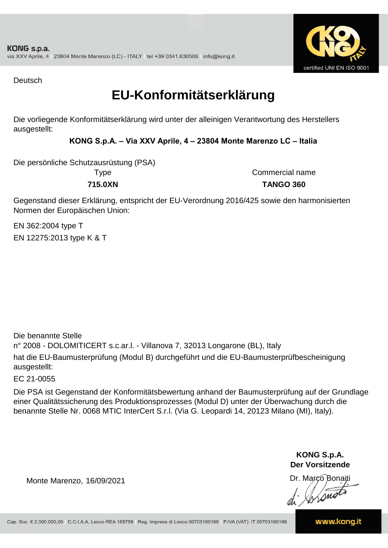

Deutsch

### **EU-Konformitätserklärung**

Die vorliegende Konformitätserklärung wird unter der alleinigen Verantwortung des Herstellers ausgestellt:

#### **KONG S.p.A. – Via XXV Aprile, 4 – 23804 Monte Marenzo LC – Italia**

Die persönliche Schutzausrüstung (PSA)

**715.0XN TANGO 360** Type Commercial name

Gegenstand dieser Erklärung, entspricht der EU-Verordnung 2016/425 sowie den harmonisierten Normen der Europäischen Union:

EN 362:2004 type T EN 12275:2013 type K & T

n° 2008 - DOLOMITICERT s.c.ar.l. - Villanova 7, 32013 Longarone (BL), Italy hat die EU-Baumusterprüfung (Modul B) durchgeführt und die EU-Baumusterprüfbescheinigung ausgestellt: Die benannte Stelle

EC 21-0055

Die PSA ist Gegenstand der Konformitätsbewertung anhand der Baumusterprüfung auf der Grundlage einer Qualitätssicherung des Produktionsprozesses (Modul D) unter der Überwachung durch die benannte Stelle Nr. 0068 MTIC InterCert S.r.l. (Via G. Leopardi 14, 20123 Milano (MI), Italy).

> **KONG S.p.A. Der Vorsitzende**

Dr. Marco Bonaiti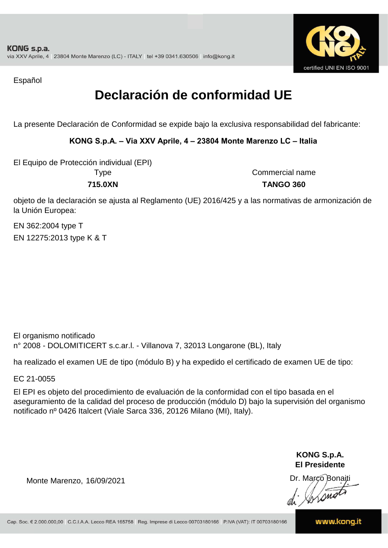

Español

## **Declaración de conformidad UE**

La presente Declaración de Conformidad se expide bajo la exclusiva responsabilidad del fabricante:

**KONG S.p.A. – Via XXV Aprile, 4 – 23804 Monte Marenzo LC – Italia**

El Equipo de Protección individual (EPI)

Type Commercial name **715.0XN TANGO 360**

objeto de la declaración se ajusta al Reglamento (UE) 2016/425 y a las normativas de armonización de la Unión Europea:

EN 362:2004 type T EN 12275:2013 type K & T

El organismo notificado n° 2008 - DOLOMITICERT s.c.ar.l. - Villanova 7, 32013 Longarone (BL), Italy

ha realizado el examen UE de tipo (módulo B) y ha expedido el certificado de examen UE de tipo:

EC 21-0055

El EPI es objeto del procedimiento de evaluación de la conformidad con el tipo basada en el aseguramiento de la calidad del proceso de producción (módulo D) bajo la supervisión del organismo notificado nº 0426 Italcert (Viale Sarca 336, 20126 Milano (MI), Italy).

> **KONG S.p.A. El Presidente**

Dr. Marco Bonaiti di Aromor

Monte Marenzo, 16/09/2021

www.kong.it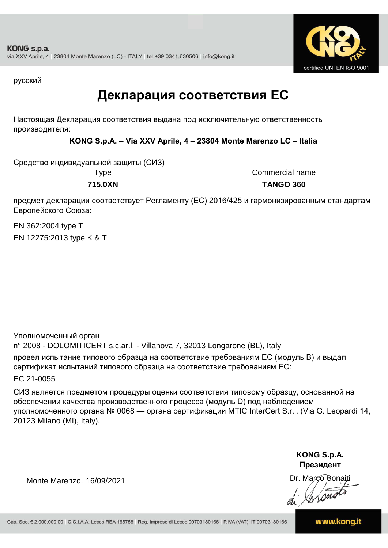

русский

### **Декларация соответствия ЕС**

Настоящая Декларация соответствия выдана под исключительную ответственность производителя:

**KONG S.p.A. – Via XXV Aprile, 4 – 23804 Monte Marenzo LC – Italia**

Средство индивидуальной защиты (СИЗ)

Type Commercial name **715.0XN TANGO 360**

предмет декларации соответствует Регламенту (ЕС) 2016/425 и гармонизированным стандартам Европейского Союза:

EN 362:2004 type T EN 12275:2013 type K & T

Уполномоченный орган

n° 2008 - DOLOMITICERT s.c.ar.l. - Villanova 7, 32013 Longarone (BL), Italy провел испытание типового образца на соответствие требованиям ЕС (модуль B) и выдал сертификат испытаний типового образца на соответствие требованиям ЕС:

EC 21-0055

СИЗ является предметом процедуры оценки соответствия типовому образцу, основанной на обеспечении качества производственного процесса (модуль D) под наблюдением уполномоченного органа № 0068 — органа сертификации MTIC InterCert S.r.l. (Via G. Leopardi 14, 20123 Milano (MI), Italy).

> **KONG S.p.A. Президент**

Dr. Marco Bonaiti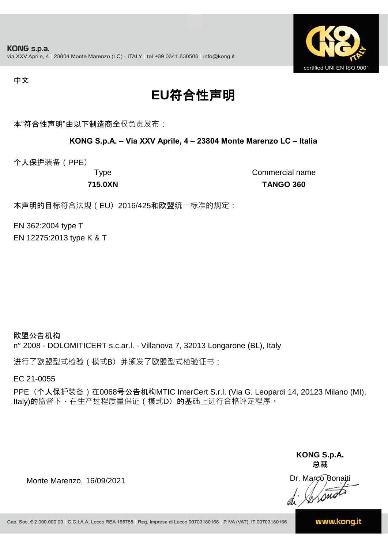

#### 中文

## **EU**符合性声明

本"符合性声明"由以下制造商全权负责发布:

#### **KONG S.p.A. – Via XXV Aprile, 4 – 23804 Monte Marenzo LC – Italia**

个人保护装备(PPE)

Type Commercial name **715.0XN TANGO 360**

本声明的目标符合法规(EU) 2016/425和欧盟统一标准的规定:

EN 362:2004 type T EN 12275:2013 type K & T

欧盟公告机构 n° 2008 - DOLOMITICERT s.c.ar.l. - Villanova 7, 32013 Longarone (BL), Italy

进行了欧盟型式检验(模式B) 并颁发了欧盟型式检验证书:

EC 21-0055

PPE (个人保护装备) 在0068号公告机构MTIC InterCert S.r.l. (Via G. Leopardi 14, 20123 Milano (MI), Italy)的监督下, 在生产过程质量保证 ( 模式D) 的基础上进行合格评定程序。

> **KONG S.p.A. 总裁**

Dr. Marco Bonaiti di Stono

Monte Marenzo, 16/09/2021

www.kong.it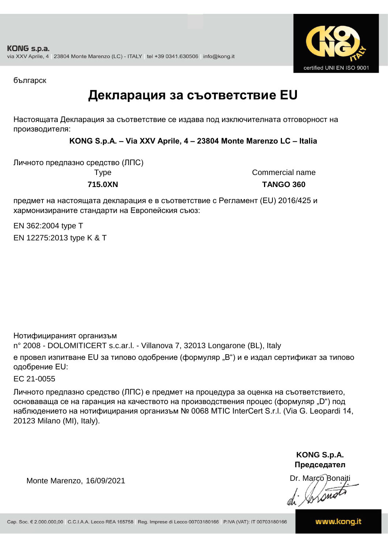

българск

### **Декларация за съответствие EU**

Настоящата Декларация за съответствие се издава под изключителната отговорност на производителя:

**KONG S.p.A. – Via XXV Aprile, 4 – 23804 Monte Marenzo LC – Italia**

Личното предпазно средство (ЛПС) **715.0XN TANGO 360**

Type Commercial name

предмет на настоящата декларация е в съответствие с Регламент (ЕU) 2016/425 и хармонизираните стандарти на Европейския съюз:

EN 362:2004 type T EN 12275:2013 type K & T

Нотифицираният организъм

n° 2008 - DOLOMITICERT s.c.ar.l. - Villanova 7, 32013 Longarone (BL), Italy

е провел изпитване EU за типово одобрение (формуляр "B") и е издал сертификат за типово одобрение ЕU:

EC 21-0055

Личното предпазно средство (ЛПС) е предмет на процедура за оценка на съответствието, основаваща се на гаранция на качеството на производствения процес (формуляр "D") под наблюдението на нотифицирания организъм № 0068 MTIC InterCert S.r.l. (Via G. Leopardi 14, 20123 Milano (MI), Italy).

> **KONG S.p.A. Председател**

Dr. Marco Bonaiti di Arono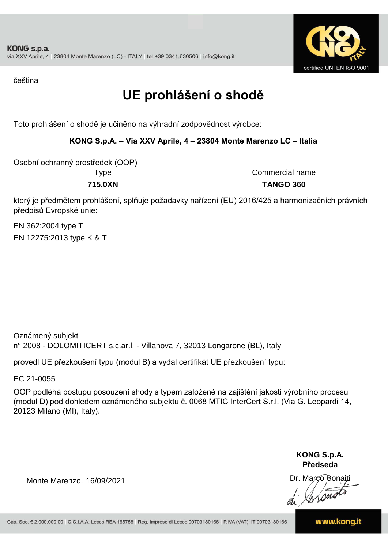

čeština

## **UE prohlášení o shodě**

Toto prohlášení o shodě je učiněno na výhradní zodpovědnost výrobce:

**KONG S.p.A. – Via XXV Aprile, 4 – 23804 Monte Marenzo LC – Italia**

Osobní ochranný prostředek (OOP)

Type Commercial name **715.0XN TANGO 360**

který je předmětem prohlášení, splňuje požadavky nařízení (EU) 2016/425 a harmonizačních právních předpisů Evropské unie:

EN 362:2004 type T EN 12275:2013 type K & T

Oznámený subjekt n° 2008 - DOLOMITICERT s.c.ar.l. - Villanova 7, 32013 Longarone (BL), Italy

provedl UE přezkoušení typu (modul B) a vydal certifikát UE přezkoušení typu:

EC 21-0055

OOP podléhá postupu posouzení shody s typem založené na zajištění jakosti výrobního procesu (modul D) pod dohledem oznámeného subjektu č. 0068 MTIC InterCert S.r.l. (Via G. Leopardi 14, 20123 Milano (MI), Italy).

> **KONG S.p.A. Předseda**

Dr. Marco Bonaiti di Stono

Monte Marenzo, 16/09/2021

www.kong.it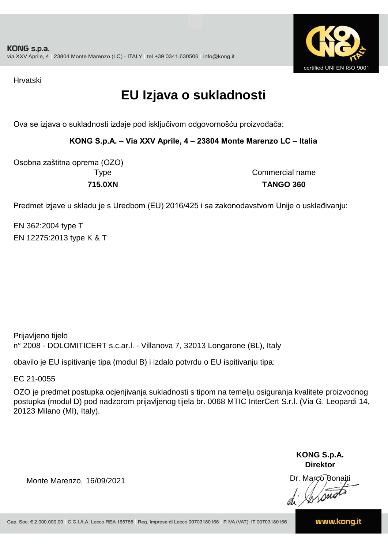

Hrvatski

### **EU Izjava o sukladnosti**

Ova se izjava o sukladnosti izdaje pod isključivom odgovornošću proizvođača:

**KONG S.p.A. – Via XXV Aprile, 4 – 23804 Monte Marenzo LC – Italia**

Osobna zaštitna oprema (OZO)

Type Commercial name **715.0XN TANGO 360**

Predmet izjave u skladu je s Uredbom (EU) 2016/425 i sa zakonodavstvom Unije o usklađivanju:

EN 362:2004 type T EN 12275:2013 type K & T

Prijavljeno tijelo n° 2008 - DOLOMITICERT s.c.ar.l. - Villanova 7, 32013 Longarone (BL), Italy

obavilo je EU ispitivanje tipa (modul B) i izdalo potvrdu o EU ispitivanju tipa:

EC 21-0055

OZO je predmet postupka ocjenjivanja sukladnosti s tipom na temelju osiguranja kvalitete proizvodnog postupka (modul D) pod nadzorom prijavljenog tijela br. 0068 MTIC InterCert S.r.l. (Via G. Leopardi 14, 20123 Milano (MI), Italy).

> **KONG S.p.A. Direktor**

Dr. Marco Bonaiti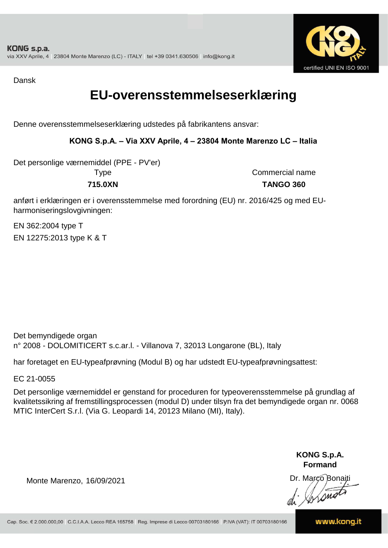

Dansk

### **EU-overensstemmelseserklæring**

Denne overensstemmelseserklæring udstedes på fabrikantens ansvar:

#### **KONG S.p.A. – Via XXV Aprile, 4 – 23804 Monte Marenzo LC – Italia**

Det personlige værnemiddel (PPE - PV'er)

Type Commercial name **715.0XN TANGO 360**

anført i erklæringen er i overensstemmelse med forordning (EU) nr. 2016/425 og med EUharmoniseringslovgivningen:

EN 362:2004 type T EN 12275:2013 type K & T

Det bemyndigede organ n° 2008 - DOLOMITICERT s.c.ar.l. - Villanova 7, 32013 Longarone (BL), Italy

har foretaget en EU-typeafprøvning (Modul B) og har udstedt EU-typeafprøvningsattest:

EC 21-0055

Det personlige værnemiddel er genstand for proceduren for typeoverensstemmelse på grundlag af kvalitetssikring af fremstillingsprocessen (modul D) under tilsyn fra det bemyndigede organ nr. 0068 MTIC InterCert S.r.l. (Via G. Leopardi 14, 20123 Milano (MI), Italy).

> **KONG S.p.A. Formand**

Dr. Marco Bonaiti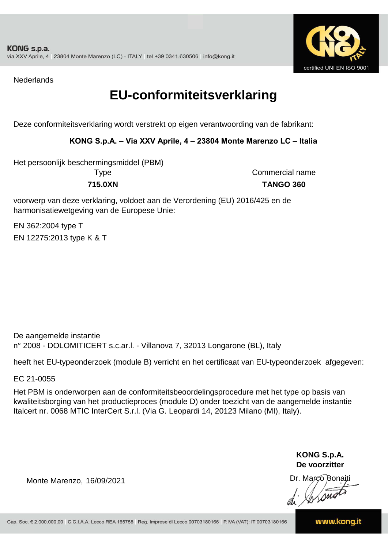

**Nederlands** 

### **EU-conformiteitsverklaring**

Deze conformiteitsverklaring wordt verstrekt op eigen verantwoording van de fabrikant:

#### **KONG S.p.A. – Via XXV Aprile, 4 – 23804 Monte Marenzo LC – Italia**

Het persoonlijk beschermingsmiddel (PBM)

Type Commercial name **715.0XN TANGO 360**

voorwerp van deze verklaring, voldoet aan de Verordening (EU) 2016/425 en de harmonisatiewetgeving van de Europese Unie:

EN 362:2004 type T EN 12275:2013 type K & T

De aangemelde instantie n° 2008 - DOLOMITICERT s.c.ar.l. - Villanova 7, 32013 Longarone (BL), Italy

heeft het EU-typeonderzoek (module B) verricht en het certificaat van EU-typeonderzoek afgegeven:

EC 21-0055

Het PBM is onderworpen aan de conformiteitsbeoordelingsprocedure met het type op basis van kwaliteitsborging van het productieproces (module D) onder toezicht van de aangemelde instantie Italcert nr. 0068 MTIC InterCert S.r.l. (Via G. Leopardi 14, 20123 Milano (MI), Italy).

> **KONG S.p.A. De voorzitter**

Dr. Marco Bonaiti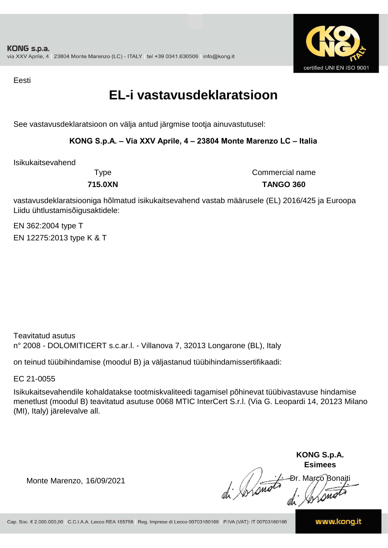

Eesti

### **EL-i vastavusdeklaratsioon**

See vastavusdeklaratsioon on välja antud järgmise tootja ainuvastutusel:

#### **KONG S.p.A. – Via XXV Aprile, 4 – 23804 Monte Marenzo LC – Italia**

Isikukaitsevahend

Type Commercial name **715.0XN TANGO 360**

vastavusdeklaratsiooniga hõlmatud isikukaitsevahend vastab määrusele (EL) 2016/425 ja Euroopa Liidu ühtlustamisõigusaktidele:

EN 362:2004 type T EN 12275:2013 type K & T

Teavitatud asutus n° 2008 - DOLOMITICERT s.c.ar.l. - Villanova 7, 32013 Longarone (BL), Italy

on teinud tüübihindamise (moodul B) ja väljastanud tüübihindamissertifikaadi:

EC 21-0055

Isikukaitsevahendile kohaldatakse tootmiskvaliteedi tagamisel põhinevat tüübivastavuse hindamise menetlust (moodul B) teavitatud asutuse 0068 MTIC InterCert S.r.l. (Via G. Leopardi 14, 20123 Milano (MI), Italy) järelevalve all.

**KONG S.p.A. Esimees** Ðr. Março Bonaiti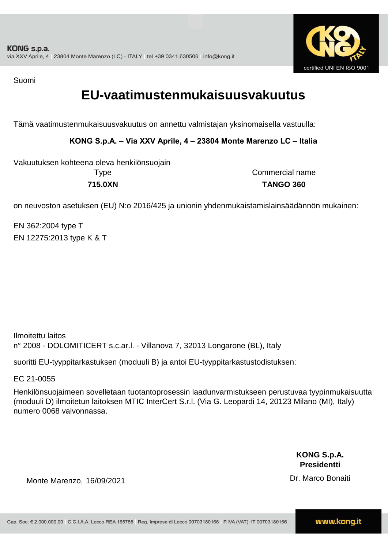

Suomi

### **EU-vaatimustenmukaisuusvakuutus**

Tämä vaatimustenmukaisuusvakuutus on annettu valmistajan yksinomaisella vastuulla:

**KONG S.p.A. – Via XXV Aprile, 4 – 23804 Monte Marenzo LC – Italia**

Type Commercial name Vakuutuksen kohteena oleva henkilönsuojain

**715.0XN TANGO 360**

on neuvoston asetuksen (EU) N:o 2016/425 ja unionin yhdenmukaistamislainsäädännön mukainen:

EN 362:2004 type T EN 12275:2013 type K & T

Ilmoitettu laitos n° 2008 - DOLOMITICERT s.c.ar.l. - Villanova 7, 32013 Longarone (BL), Italy

suoritti EU-tyyppitarkastuksen (moduuli B) ja antoi EU-tyyppitarkastustodistuksen:

EC 21-0055

Henkilönsuojaimeen sovelletaan tuotantoprosessin laadunvarmistukseen perustuvaa tyypinmukaisuutta (moduuli D) ilmoitetun laitoksen MTIC InterCert S.r.l. (Via G. Leopardi 14, 20123 Milano (MI), Italy) numero 0068 valvonnassa.

> **KONG S.p.A. Presidentti**

Dr. Marco Bonaiti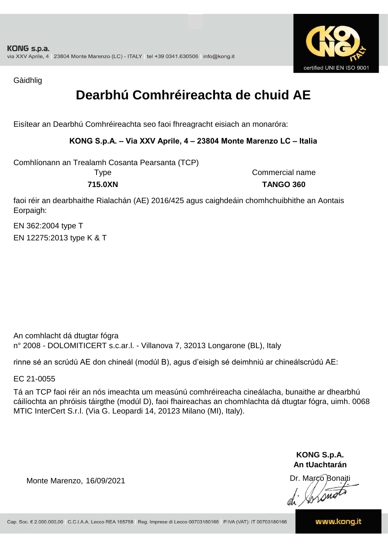

Gàidhlig

## **Dearbhú Comhréireachta de chuid AE**

Eisítear an Dearbhú Comhréireachta seo faoi fhreagracht eisiach an monaróra:

#### **KONG S.p.A. – Via XXV Aprile, 4 – 23804 Monte Marenzo LC – Italia**

Comhlíonann an Trealamh Cosanta Pearsanta (TCP)

Type Commercial name **715.0XN TANGO 360**

faoi réir an dearbhaithe Rialachán (AE) 2016/425 agus caighdeáin chomhchuibhithe an Aontais Eorpaigh:

EN 362:2004 type T EN 12275:2013 type K & T

An comhlacht dá dtugtar fógra n° 2008 - DOLOMITICERT s.c.ar.l. - Villanova 7, 32013 Longarone (BL), Italy

rinne sé an scrúdú AE don chineál (modúl B), agus d'eisigh sé deimhniú ar chineálscrúdú AE:

EC 21-0055

Tá an TCP faoi réir an nós imeachta um measúnú comhréireacha cineálacha, bunaithe ar dhearbhú cáilíochta an phróisis táirgthe (modúl D), faoi fhaireachas an chomhlachta dá dtugtar fógra, uimh. 0068 MTIC InterCert S.r.l. (Via G. Leopardi 14, 20123 Milano (MI), Italy).

> **KONG S.p.A. An tUachtarán**

Dr. Marco Bonaiti di Stonom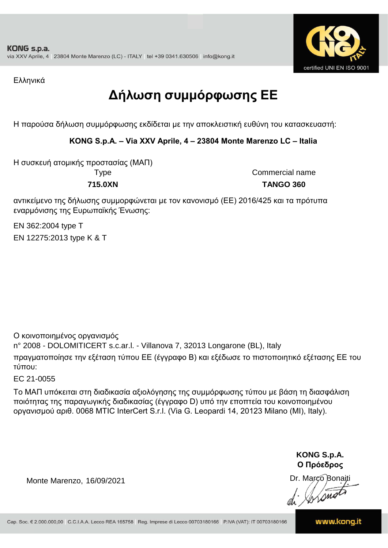

Ελληνικά

## **Δήλωση συμμόρφωσης ΕE**

Η παρούσα δήλωση συμμόρφωσης εκδίδεται με την αποκλειστική ευθύνη του κατασκευαστή:

**KONG S.p.A. – Via XXV Aprile, 4 – 23804 Monte Marenzo LC – Italia**

Η συσκευή ατομικής προστασίας (ΜΑΠ)

Type Commercial name **715.0XN TANGO 360**

αντικείμενο της δήλωσης συμμορφώνεται με τον κανονισμό (ΕΕ) 2016/425 και τα πρότυπα εναρμόνισης της Ευρωπαϊκής Ένωσης:

EN 362:2004 type T EN 12275:2013 type K & T

Ο κοινοποιημένος οργανισμός

n° 2008 - DOLOMITICERT s.c.ar.l. - Villanova 7, 32013 Longarone (BL), Italy

πραγματοποίησε την εξέταση τύπου ΕΕ (έγγραφο Β) και εξέδωσε το πιστοποιητικό εξέτασης ΕΕ του τύπου:

EC 21-0055

Το ΜΑΠ υπόκειται στη διαδικασία αξιολόγησης της συμμόρφωσης τύπου με βάση τη διασφάλιση ποιότητας της παραγωγικής διαδικασίας (έγγραφο D) υπό την εποπτεία του κοινοποιημένου οργανισμού αριθ. 0068 MTIC InterCert S.r.l. (Via G. Leopardi 14, 20123 Milano (MI), Italy).

> **KONG S.p.A. Ο Πρόεδρος**

Dr. Marco Bonaiti di Aromor

Monte Marenzo, 16/09/2021

www.kong.it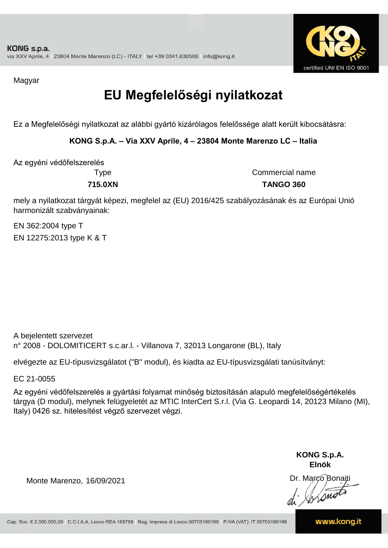

Magyar

## **EU Megfelelőségi nyilatkozat**

Ez a Megfelelőségi nyilatkozat az alábbi gyártó kizárólagos felelőssége alatt került kibocsátásra:

**KONG S.p.A. – Via XXV Aprile, 4 – 23804 Monte Marenzo LC – Italia**

Az egyéni védőfelszerelés

Type Commercial name **715.0XN TANGO 360**

mely a nyilatkozat tárgyát képezi, megfelel az (EU) 2016/425 szabályozásának és az Európai Unió harmonizált szabványainak:

EN 362:2004 type T EN 12275:2013 type K & T

A bejelentett szervezet n° 2008 - DOLOMITICERT s.c.ar.l. - Villanova 7, 32013 Longarone (BL), Italy

elvégezte az EU-típusvizsgálatot ("B" modul), és kiadta az EU-típusvizsgálati tanúsítványt:

EC 21-0055

Az egyéni védőfelszerelés a gyártási folyamat minőség biztosításán alapuló megfelelőségértékelés tárgya (D modul), melynek felügyeletét az MTIC InterCert S.r.l. (Via G. Leopardi 14, 20123 Milano (MI), Italy) 0426 sz. hitelesítést végző szervezet végzi.

> **KONG S.p.A. Elnök**

Dr. Marco Bonaiti di Aromor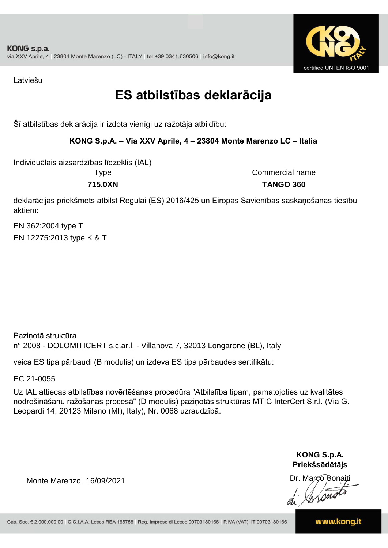

Latviešu

### **ES atbilstības deklarācija**

Šī atbilstības deklarācija ir izdota vienīgi uz ražotāja atbildību:

#### **KONG S.p.A. – Via XXV Aprile, 4 – 23804 Monte Marenzo LC – Italia**

Individuālais aizsardzības līdzeklis (IAL)

Type Commercial name **715.0XN TANGO 360**

deklarācijas priekšmets atbilst Regulai (ES) 2016/425 un Eiropas Savienības saskaņošanas tiesību aktiem:

EN 362:2004 type T EN 12275:2013 type K & T

Paziņotā struktūra n° 2008 - DOLOMITICERT s.c.ar.l. - Villanova 7, 32013 Longarone (BL), Italy

veica ES tipa pārbaudi (B modulis) un izdeva ES tipa pārbaudes sertifikātu:

EC 21-0055

Uz IAL attiecas atbilstības novērtēšanas procedūra "Atbilstība tipam, pamatojoties uz kvalitātes nodrošināšanu ražošanas procesā" (D modulis) paziņotās struktūras MTIC InterCert S.r.l. (Via G. Leopardi 14, 20123 Milano (MI), Italy), Nr. 0068 uzraudzībā.

> **KONG S.p.A. Priekšsēdētājs**

Dr. Marco Bonaiti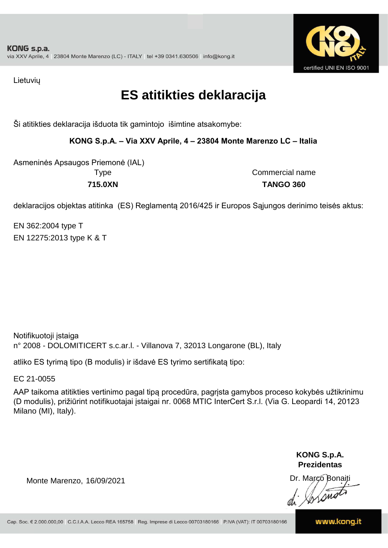

Lietuvių

### **ES atitikties deklaracija**

Ši atitikties deklaracija išduota tik gamintojo išimtine atsakomybe:

**KONG S.p.A. – Via XXV Aprile, 4 – 23804 Monte Marenzo LC – Italia**

Asmeninės Apsaugos Priemonė (IAL) **715.0XN TANGO 360**

Type Commercial name

deklaracijos objektas atitinka (ES) Reglamentą 2016/425 ir Europos Sąjungos derinimo teisės aktus:

EN 362:2004 type T EN 12275:2013 type K & T

Notifikuotoji įstaiga n° 2008 - DOLOMITICERT s.c.ar.l. - Villanova 7, 32013 Longarone (BL), Italy

atliko ES tyrimą tipo (B modulis) ir išdavė ES tyrimo sertifikatą tipo:

EC 21-0055

AAP taikoma atitikties vertinimo pagal tipą procedūra, pagrįsta gamybos proceso kokybės užtikrinimu (D modulis), prižiūrint notifikuotajai įstaigai nr. 0068 MTIC InterCert S.r.l. (Via G. Leopardi 14, 20123 Milano (MI), Italy).

> **KONG S.p.A. Prezidentas**

Dr. Marco Bonaiti di Aromor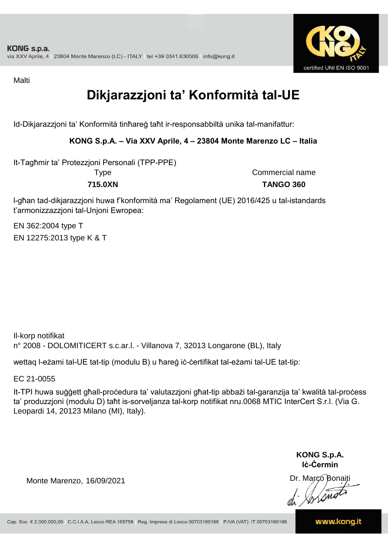

Malti

## **Dikjarazzjoni ta' Konformità tal-UE**

Id-Dikjarazzjoni ta' Konformità tinħareġ taħt ir-responsabbiltà unika tal-manifattur:

#### **KONG S.p.A. – Via XXV Aprile, 4 – 23804 Monte Marenzo LC – Italia**

It-Tagħmir ta' Protezzjoni Personali (TPP-PPE)

Type Commercial name **715.0XN TANGO 360**

l-għan tad-dikjarazzjoni huwa f'konformità ma' Regolament (UE) 2016/425 u tal-istandards t'armonizzazzjoni tal-Unjoni Ewropea:

EN 362:2004 type T EN 12275:2013 type K & T

Il-korp notifikat n° 2008 - DOLOMITICERT s.c.ar.l. - Villanova 7, 32013 Longarone (BL), Italy

wettaq l-eżami tal-UE tat-tip (modulu B) u ħareġ iċ-ċertifikat tal-eżami tal-UE tat-tip:

EC 21-0055

It-TPI huwa suġġett għall-proċedura ta' valutazzjoni għat-tip abbażi tal-garanzija ta' kwalità tal-proċess ta' produzzjoni (modulu D) taħt is-sorveljanza tal-korp notifikat nru.0068 MTIC InterCert S.r.l. (Via G. Leopardi 14, 20123 Milano (MI), Italy).

> **KONG S.p.A. Iċ-Ċermin**

Dr. Março Bonaiti di Stonom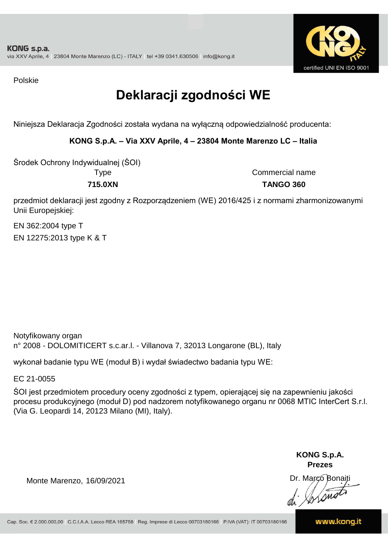

Polskie

## **Deklaracji zgodności WE**

Niniejsza Deklaracja Zgodności została wydana na wyłączną odpowiedzialność producenta:

**KONG S.p.A. – Via XXV Aprile, 4 – 23804 Monte Marenzo LC – Italia**

Środek Ochrony Indywidualnej (ŚOI)

Type Commercial name **715.0XN TANGO 360**

przedmiot deklaracji jest zgodny z Rozporządzeniem (WE) 2016/425 i z normami zharmonizowanymi Unii Europejskiej:

EN 362:2004 type T EN 12275:2013 type K & T

Notyfikowany organ n° 2008 - DOLOMITICERT s.c.ar.l. - Villanova 7, 32013 Longarone (BL), Italy

wykonał badanie typu WE (moduł B) i wydał świadectwo badania typu WE:

EC 21-0055

ŚOI jest przedmiotem procedury oceny zgodności z typem, opierającej się na zapewnieniu jakości procesu produkcyjnego (moduł D) pod nadzorem notyfikowanego organu nr 0068 MTIC InterCert S.r.l. (Via G. Leopardi 14, 20123 Milano (MI), Italy).

> **KONG S.p.A. Prezes**

Dr. Marco Bonaiti di Aromo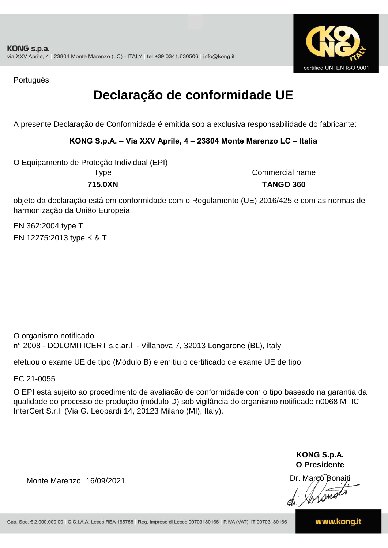

Português

### **Declaração de conformidade UE**

A presente Declaração de Conformidade é emitida sob a exclusiva responsabilidade do fabricante:

#### **KONG S.p.A. – Via XXV Aprile, 4 – 23804 Monte Marenzo LC – Italia**

O Equipamento de Proteção Individual (EPI)

Type Commercial name **715.0XN TANGO 360**

objeto da declaração está em conformidade com o Regulamento (UE) 2016/425 e com as normas de harmonização da União Europeia:

EN 12275:2013 type K & T EN 362:2004 type T

O organismo notificado n° 2008 - DOLOMITICERT s.c.ar.l. - Villanova 7, 32013 Longarone (BL), Italy

efetuou o exame UE de tipo (Módulo B) e emitiu o certificado de exame UE de tipo:

EC 21-0055

O EPI está sujeito ao procedimento de avaliação de conformidade com o tipo baseado na garantia da qualidade do processo de produção (módulo D) sob vigilância do organismo notificado n0068 MTIC InterCert S.r.l. (Via G. Leopardi 14, 20123 Milano (MI), Italy).

> **KONG S.p.A. O Presidente**

Dr. Marco Bonaiti di Arono

Monte Marenzo, 16/09/2021

www.kong.it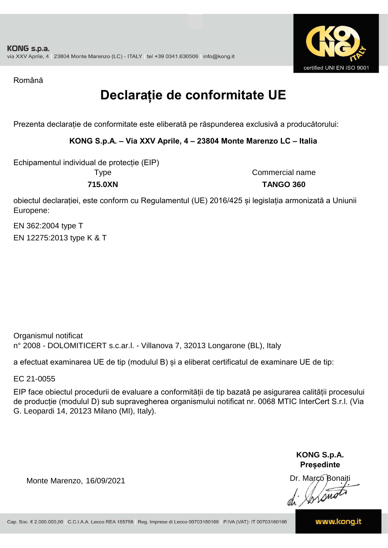

Română

## **Declarație de conformitate UE**

Prezenta declarație de conformitate este eliberată pe răspunderea exclusivă a producătorului:

**KONG S.p.A. – Via XXV Aprile, 4 – 23804 Monte Marenzo LC – Italia**

Echipamentul individual de protecție (EIP)

Type

Commercial name **715.0XN TANGO 360**

obiectul declarației, este conform cu Regulamentul (UE) 2016/425 și legislația armonizată a Uniunii Europene:

EN 362:2004 type T EN 12275:2013 type K & T

Organismul notificat n° 2008 - DOLOMITICERT s.c.ar.l. - Villanova 7, 32013 Longarone (BL), Italy

a efectuat examinarea UE de tip (modulul B) și a eliberat certificatul de examinare UE de tip:

EC 21-0055

EIP face obiectul procedurii de evaluare a conformității de tip bazată pe asigurarea calității procesului de producție (modulul D) sub supravegherea organismului notificat nr. 0068 MTIC InterCert S.r.l. (Via G. Leopardi 14, 20123 Milano (MI), Italy).

> **KONG S.p.A. Președinte**

Dr. Marco Bonaiti di Arono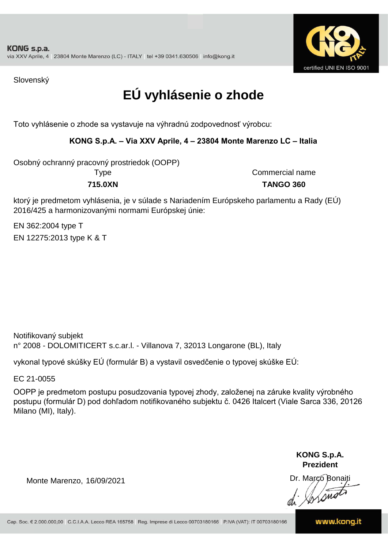

Slovenský

## **EÚ vyhlásenie o zhode**

Toto vyhlásenie o zhode sa vystavuje na výhradnú zodpovednosť výrobcu:

#### **KONG S.p.A. – Via XXV Aprile, 4 – 23804 Monte Marenzo LC – Italia**

Osobný ochranný pracovný prostriedok (OOPP)

Type Commercial name **715.0XN TANGO 360**

ktorý je predmetom vyhlásenia, je v súlade s Nariadením Európskeho parlamentu a Rady (EÚ) 2016/425 a harmonizovanými normami Európskej únie:

EN 362:2004 type T EN 12275:2013 type K & T

n° 2008 - DOLOMITICERT s.c.ar.l. - Villanova 7, 32013 Longarone (BL), Italy Notifikovaný subjekt

vykonal typové skúšky EÚ (formulár B) a vystavil osvedčenie o typovej skúške EÚ:

EC 21-0055

OOPP je predmetom postupu posudzovania typovej zhody, založenej na záruke kvality výrobného postupu (formulár D) pod dohľadom notifikovaného subjektu č. 0426 Italcert (Viale Sarca 336, 20126 Milano (MI), Italy).

> **KONG S.p.A. Prezident**

Dr. Marco Bonaiti di Aromor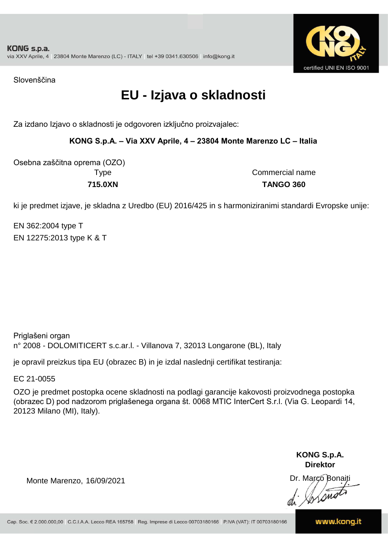

Slovenščina

### **EU - Izjava o skladnosti**

Za izdano Izjavo o skladnosti je odgovoren izključno proizvajalec:

**KONG S.p.A. – Via XXV Aprile, 4 – 23804 Monte Marenzo LC – Italia**

Osebna zaščitna oprema (OZO)

Type Commercial name **715.0XN TANGO 360**

ki je predmet izjave, je skladna z Uredbo (EU) 2016/425 in s harmoniziranimi standardi Evropske unije:

EN 362:2004 type T EN 12275:2013 type K & T

Priglašeni organ n° 2008 - DOLOMITICERT s.c.ar.l. - Villanova 7, 32013 Longarone (BL), Italy

je opravil preizkus tipa EU (obrazec B) in je izdal naslednji certifikat testiranja:

EC 21-0055

OZO je predmet postopka ocene skladnosti na podlagi garancije kakovosti proizvodnega postopka (obrazec D) pod nadzorom priglašenega organa št. 0068 MTIC InterCert S.r.l. (Via G. Leopardi 14, 20123 Milano (MI), Italy).

> **KONG S.p.A. Direktor**

Dr. Marco Bonaiti di Stono